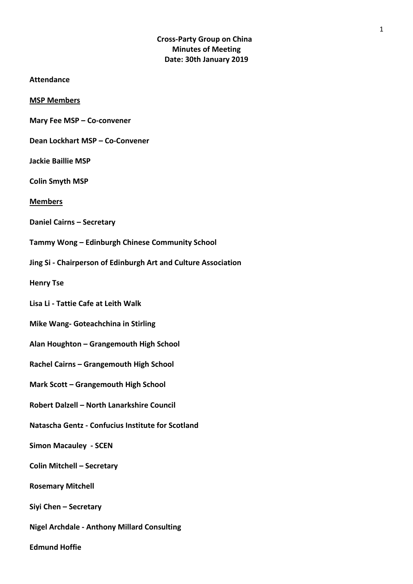# **Cross-Party Group on China Minutes of Meeting Date: 30th January 2019**

- **Attendance**
- **MSP Members**
- **Mary Fee MSP – Co-convener**
- **Dean Lockhart MSP – Co-Convener**
- **Jackie Baillie MSP**
- **Colin Smyth MSP**
- **Members**
- **Daniel Cairns – Secretary**
- **Tammy Wong – Edinburgh Chinese Community School**
- **Jing Si - Chairperson of Edinburgh Art and Culture Association**
- **Henry Tse**
- **Lisa Li - Tattie Cafe at Leith Walk**
- **Mike Wang- Goteachchina in Stirling**
- **Alan Houghton – Grangemouth High School**
- **Rachel Cairns – Grangemouth High School**
- **Mark Scott – Grangemouth High School**
- **Robert Dalzell – North Lanarkshire Council**
- **Natascha Gentz - Confucius Institute for Scotland**
- **Simon Macauley - SCEN**
- **Colin Mitchell – Secretary**
- **Rosemary Mitchell**
- **Siyi Chen – Secretary**
- **Nigel Archdale - Anthony Millard Consulting**

**Edmund Hoffie**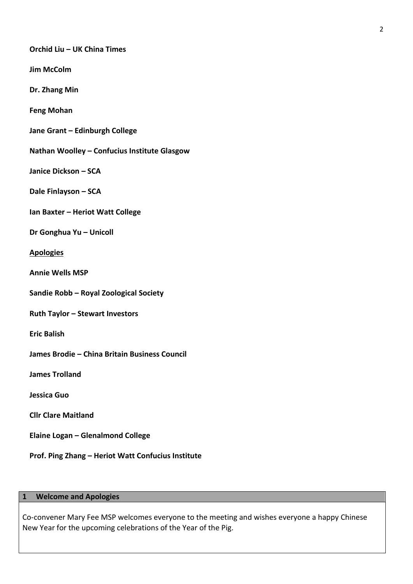### **Orchid Liu – UK China Times**

**Jim McColm** 

**Dr. Zhang Min** 

**Feng Mohan**

**Jane Grant – Edinburgh College** 

**Nathan Woolley – Confucius Institute Glasgow** 

**Janice Dickson – SCA** 

**Dale Finlayson – SCA**

**Ian Baxter – Heriot Watt College**

**Dr Gonghua Yu – Unicoll**

#### **Apologies**

**Annie Wells MSP** 

**Sandie Robb – Royal Zoological Society** 

**Ruth Taylor – Stewart Investors**

**Eric Balish** 

**James Brodie – China Britain Business Council** 

**James Trolland**

**Jessica Guo** 

**Cllr Clare Maitland**

**Elaine Logan – Glenalmond College**

**Prof. Ping Zhang – Heriot Watt Confucius Institute**

#### **1 Welcome and Apologies**

Co-convener Mary Fee MSP welcomes everyone to the meeting and wishes everyone a happy Chinese New Year for the upcoming celebrations of the Year of the Pig.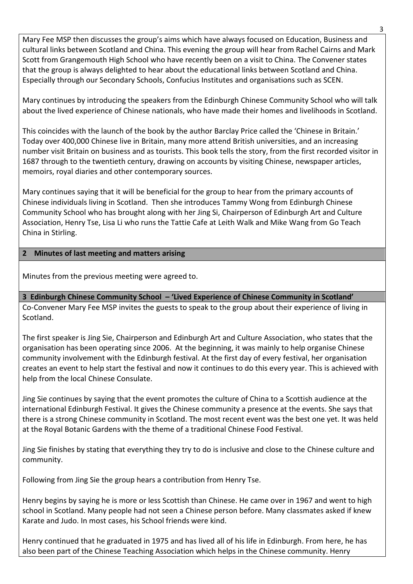Mary Fee MSP then discusses the group's aims which have always focused on Education, Business and cultural links between Scotland and China. This evening the group will hear from Rachel Cairns and Mark Scott from Grangemouth High School who have recently been on a visit to China. The Convener states that the group is always delighted to hear about the educational links between Scotland and China. Especially through our Secondary Schools, Confucius Institutes and organisations such as SCEN.

Mary continues by introducing the speakers from the Edinburgh Chinese Community School who will talk about the lived experience of Chinese nationals, who have made their homes and livelihoods in Scotland.

This coincides with the launch of the book by the author Barclay Price called the 'Chinese in Britain.' Today over 400,000 Chinese live in Britain, many more attend British universities, and an increasing number visit Britain on business and as tourists. This book tells the story, from the first recorded visitor in 1687 through to the twentieth century, drawing on accounts by visiting Chinese, newspaper articles, memoirs, royal diaries and other contemporary sources.

Mary continues saying that it will be beneficial for the group to hear from the primary accounts of Chinese individuals living in Scotland. Then she introduces Tammy Wong from Edinburgh Chinese Community School who has brought along with her Jing Si, Chairperson of Edinburgh Art and Culture Association, Henry Tse, Lisa Li who runs the Tattie Cafe at Leith Walk and Mike Wang from Go Teach China in Stirling.

# **2 Minutes of last meeting and matters arising**

Minutes from the previous meeting were agreed to.

**3 Edinburgh Chinese Community School – 'Lived Experience of Chinese Community in Scotland'** Co-Convener Mary Fee MSP invites the guests to speak to the group about their experience of living in Scotland.

The first speaker is Jing Sie, Chairperson and Edinburgh Art and Culture Association, who states that the organisation has been operating since 2006. At the beginning, it was mainly to help organise Chinese community involvement with the Edinburgh festival. At the first day of every festival, her organisation creates an event to help start the festival and now it continues to do this every year. This is achieved with help from the local Chinese Consulate.

Jing Sie continues by saying that the event promotes the culture of China to a Scottish audience at the international Edinburgh Festival. It gives the Chinese community a presence at the events. She says that there is a strong Chinese community in Scotland. The most recent event was the best one yet. It was held at the Royal Botanic Gardens with the theme of a traditional Chinese Food Festival.

Jing Sie finishes by stating that everything they try to do is inclusive and close to the Chinese culture and community.

Following from Jing Sie the group hears a contribution from Henry Tse.

Henry begins by saying he is more or less Scottish than Chinese. He came over in 1967 and went to high school in Scotland. Many people had not seen a Chinese person before. Many classmates asked if knew Karate and Judo. In most cases, his School friends were kind.

Henry continued that he graduated in 1975 and has lived all of his life in Edinburgh. From here, he has also been part of the Chinese Teaching Association which helps in the Chinese community. Henry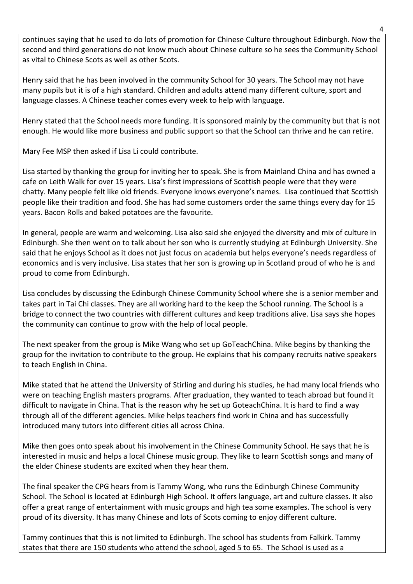continues saying that he used to do lots of promotion for Chinese Culture throughout Edinburgh. Now the second and third generations do not know much about Chinese culture so he sees the Community School as vital to Chinese Scots as well as other Scots.

Henry said that he has been involved in the community School for 30 years. The School may not have many pupils but it is of a high standard. Children and adults attend many different culture, sport and language classes. A Chinese teacher comes every week to help with language.

Henry stated that the School needs more funding. It is sponsored mainly by the community but that is not enough. He would like more business and public support so that the School can thrive and he can retire.

Mary Fee MSP then asked if Lisa Li could contribute.

Lisa started by thanking the group for inviting her to speak. She is from Mainland China and has owned a cafe on Leith Walk for over 15 years. Lisa's first impressions of Scottish people were that they were chatty. Many people felt like old friends. Everyone knows everyone's names. Lisa continued that Scottish people like their tradition and food. She has had some customers order the same things every day for 15 years. Bacon Rolls and baked potatoes are the favourite.

In general, people are warm and welcoming. Lisa also said she enjoyed the diversity and mix of culture in Edinburgh. She then went on to talk about her son who is currently studying at Edinburgh University. She said that he enjoys School as it does not just focus on academia but helps everyone's needs regardless of economics and is very inclusive. Lisa states that her son is growing up in Scotland proud of who he is and proud to come from Edinburgh.

Lisa concludes by discussing the Edinburgh Chinese Community School where she is a senior member and takes part in Tai Chi classes. They are all working hard to the keep the School running. The School is a bridge to connect the two countries with different cultures and keep traditions alive. Lisa says she hopes the community can continue to grow with the help of local people.

The next speaker from the group is Mike Wang who set up GoTeachChina. Mike begins by thanking the group for the invitation to contribute to the group. He explains that his company recruits native speakers to teach English in China.

Mike stated that he attend the University of Stirling and during his studies, he had many local friends who were on teaching English masters programs. After graduation, they wanted to teach abroad but found it difficult to navigate in China. That is the reason why he set up GoteachChina. It is hard to find a way through all of the different agencies. Mike helps teachers find work in China and has successfully introduced many tutors into different cities all across China.

Mike then goes onto speak about his involvement in the Chinese Community School. He says that he is interested in music and helps a local Chinese music group. They like to learn Scottish songs and many of the elder Chinese students are excited when they hear them.

The final speaker the CPG hears from is Tammy Wong, who runs the Edinburgh Chinese Community School. The School is located at Edinburgh High School. It offers language, art and culture classes. It also offer a great range of entertainment with music groups and high tea some examples. The school is very proud of its diversity. It has many Chinese and lots of Scots coming to enjoy different culture.

Tammy continues that this is not limited to Edinburgh. The school has students from Falkirk. Tammy states that there are 150 students who attend the school, aged 5 to 65. The School is used as a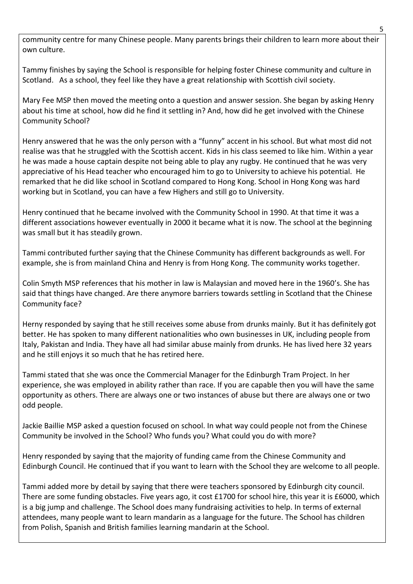community centre for many Chinese people. Many parents brings their children to learn more about their own culture.

Tammy finishes by saying the School is responsible for helping foster Chinese community and culture in Scotland. As a school, they feel like they have a great relationship with Scottish civil society.

Mary Fee MSP then moved the meeting onto a question and answer session. She began by asking Henry about his time at school, how did he find it settling in? And, how did he get involved with the Chinese Community School?

Henry answered that he was the only person with a "funny" accent in his school. But what most did not realise was that he struggled with the Scottish accent. Kids in his class seemed to like him. Within a year he was made a house captain despite not being able to play any rugby. He continued that he was very appreciative of his Head teacher who encouraged him to go to University to achieve his potential. He remarked that he did like school in Scotland compared to Hong Kong. School in Hong Kong was hard working but in Scotland, you can have a few Highers and still go to University.

Henry continued that he became involved with the Community School in 1990. At that time it was a different associations however eventually in 2000 it became what it is now. The school at the beginning was small but it has steadily grown.

Tammi contributed further saying that the Chinese Community has different backgrounds as well. For example, she is from mainland China and Henry is from Hong Kong. The community works together.

Colin Smyth MSP references that his mother in law is Malaysian and moved here in the 1960's. She has said that things have changed. Are there anymore barriers towards settling in Scotland that the Chinese Community face?

Herny responded by saying that he still receives some abuse from drunks mainly. But it has definitely got better. He has spoken to many different nationalities who own businesses in UK, including people from Italy, Pakistan and India. They have all had similar abuse mainly from drunks. He has lived here 32 years and he still enjoys it so much that he has retired here.

Tammi stated that she was once the Commercial Manager for the Edinburgh Tram Project. In her experience, she was employed in ability rather than race. If you are capable then you will have the same opportunity as others. There are always one or two instances of abuse but there are always one or two odd people.

Jackie Baillie MSP asked a question focused on school. In what way could people not from the Chinese Community be involved in the School? Who funds you? What could you do with more?

Henry responded by saying that the majority of funding came from the Chinese Community and Edinburgh Council. He continued that if you want to learn with the School they are welcome to all people.

Tammi added more by detail by saying that there were teachers sponsored by Edinburgh city council. There are some funding obstacles. Five years ago, it cost £1700 for school hire, this year it is £6000, which is a big jump and challenge. The School does many fundraising activities to help. In terms of external attendees, many people want to learn mandarin as a language for the future. The School has children from Polish, Spanish and British families learning mandarin at the School.